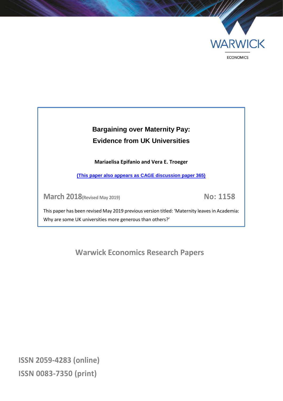

## **Bargaining over Maternity Pay: Evidence from UK Universities**

**Mariaelisa Epifanio and Vera E. Troeger**

**[\(This paper also appears as CAGE discussion paper 365\)](https://warwick.ac.uk/fac/soc/economics/research/centres/cage/manage/publications/365-2018_troeger.pdf)**

**March 2018(Revised May 2019) No: 1158**

This paper has been revised May 2019 previous version titled: 'Maternity leaves in Academia: Why are some UK universities more generous than others?'

**Warwick Economics Research Papers**

**ISSN 2059-4283 (online) ISSN 0083-7350 (print)**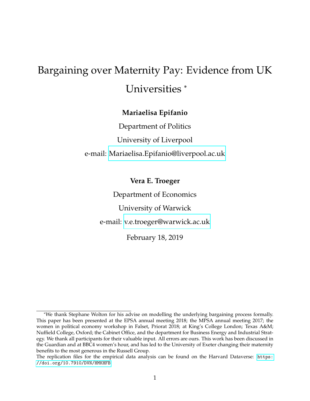# Bargaining over Maternity Pay: Evidence from UK Universities \*

### **Mariaelisa Epifanio**

Department of Politics University of Liverpool e-mail: [Mariaelisa.Epifanio@liverpool.ac.uk](mailto:Mariaelisa.Epifanio@liverpool.ac.uk)

**Vera E. Troeger**

Department of Economics

University of Warwick

e-mail: [v.e.troeger@warwick.ac.uk](mailto:v.e.troeger@warwick.ac.uk)

February 18, 2019

<sup>\*</sup>We thank Stephane Wolton for his advise on modelling the underlying bargaining process formally. This paper has been presented at the EPSA annual meeting 2018; the MPSA annual meeting 2017; the women in political economy workshop in Falset, Priorat 2018; at King's College London; Texas A&M; Nuffield College, Oxford; the Cabinet Office, and the department for Business Energy and Industrial Strategy. We thank all participants for their valuable input. All errors are ours. This work has been discussed in the Guardian and at BBC4 women's hour, and has led to the University of Exeter changing their maternity benefits to the most generous in the Russell Group.

The replication files for the empirical data analysis can be found on the Harvard Dataverse: [https:](https://doi.org/10.7910/DVN/HMKHFB) [//doi.org/10.7910/DVN/HMKHFB](https://doi.org/10.7910/DVN/HMKHFB)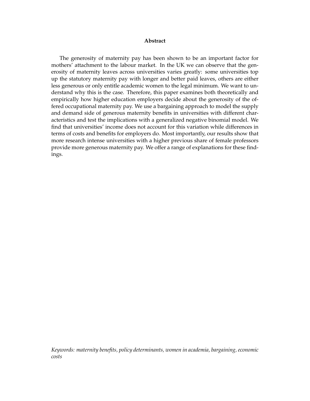#### **Abstract**

The generosity of maternity pay has been shown to be an important factor for mothers' attachment to the labour market. In the UK we can observe that the generosity of maternity leaves across universities varies greatly: some universities top up the statutory maternity pay with longer and better paid leaves, others are either less generous or only entitle academic women to the legal minimum. We want to understand why this is the case. Therefore, this paper examines both theoretically and empirically how higher education employers decide about the generosity of the offered occupational maternity pay. We use a bargaining approach to model the supply and demand side of generous maternity benefits in universities with different characteristics and test the implications with a generalized negative binomial model. We find that universities' income does not account for this variation while differences in terms of costs and benefits for employers do. Most importantly, our results show that more research intense universities with a higher previous share of female professors provide more generous maternity pay. We offer a range of explanations for these findings.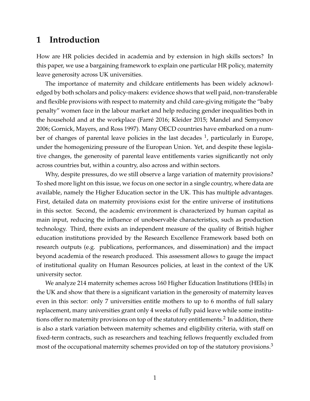### **1 Introduction**

How are HR policies decided in academia and by extension in high skills sectors? In this paper, we use a bargaining framework to explain one particular HR policy, maternity leave generosity across UK universities.

The importance of maternity and childcare entitlements has been widely acknowledged by both scholars and policy-makers: evidence shows that well paid, non-transferable and flexible provisions with respect to maternity and child care-giving mitigate the "baby penalty" women face in the labour market and help reducing gender inequalities both in the household and at the workplace (Farré 2016; Kleider 2015; Mandel and Semyonov 2006; Gornick, Mayers, and Ross 1997). Many OECD countries have embarked on a number of changes of parental leave policies in the last decades  $^1$ , particularly in Europe, under the homogenizing pressure of the European Union. Yet, and despite these legislative changes, the generosity of parental leave entitlements varies significantly not only across countries but, within a country, also across and within sectors.

Why, despite pressures, do we still observe a large variation of maternity provisions? To shed more light on this issue, we focus on one sector in a single country, where data are available, namely the Higher Education sector in the UK. This has multiple advantages. First, detailed data on maternity provisions exist for the entire universe of institutions in this sector. Second, the academic environment is characterized by human capital as main input, reducing the influence of unobservable characteristics, such as production technology. Third, there exists an independent measure of the quality of British higher education institutions provided by the Research Excellence Framework based both on research outputs (e.g. publications, performances, and dissemination) and the impact beyond academia of the research produced. This assessment allows to gauge the impact of institutional quality on Human Resources policies, at least in the context of the UK university sector.

We analyze 214 maternity schemes across 160 Higher Education Institutions (HEIs) in the UK and show that there is a significant variation in the generosity of maternity leaves even in this sector: only 7 universities entitle mothers to up to 6 months of full salary replacement, many universities grant only 4 weeks of fully paid leave while some institutions offer no maternity provisions on top of the statutory entitlements. $^2$  In addition, there is also a stark variation between maternity schemes and eligibility criteria, with staff on fixed-term contracts, such as researchers and teaching fellows frequently excluded from most of the occupational maternity schemes provided on top of the statutory provisions.<sup>3</sup>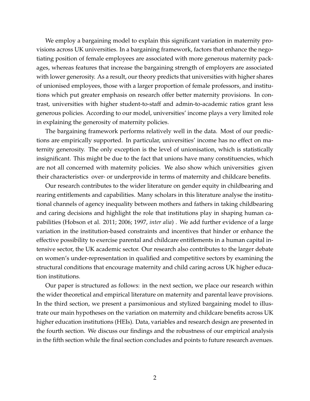We employ a bargaining model to explain this significant variation in maternity provisions across UK universities. In a bargaining framework, factors that enhance the negotiating position of female employees are associated with more generous maternity packages, whereas features that increase the bargaining strength of employers are associated with lower generosity. As a result, our theory predicts that universities with higher shares of unionised employees, those with a larger proportion of female professors, and institutions which put greater emphasis on research offer better maternity provisions. In contrast, universities with higher student-to-staff and admin-to-academic ratios grant less generous policies. According to our model, universities' income plays a very limited role in explaining the generosity of maternity policies.

The bargaining framework performs relatively well in the data. Most of our predictions are empirically supported. In particular, universities' income has no effect on maternity generosity. The only exception is the level of unionisation, which is statistically insignificant. This might be due to the fact that unions have many constituencies, which are not all concerned with maternity policies. We also show which universities given their characteristics over- or underprovide in terms of maternity and childcare benefits.

Our research contributes to the wider literature on gender equity in childbearing and rearing entitlements and capabilities. Many scholars in this literature analyse the institutional channels of agency inequality between mothers and fathers in taking childbearing and caring decisions and highlight the role that institutions play in shaping human capabilities (Hobson et al. 2011; 2006; 1997, *inter alia*) . We add further evidence of a large variation in the institution-based constraints and incentives that hinder or enhance the effective possibility to exercise parental and childcare entitlements in a human capital intensive sector, the UK academic sector. Our research also contributes to the larger debate on women's under-representation in qualified and competitive sectors by examining the structural conditions that encourage maternity and child caring across UK higher education institutions.

Our paper is structured as follows: in the next section, we place our research within the wider theoretical and empirical literature on maternity and parental leave provisions. In the third section, we present a parsimonious and stylized bargaining model to illustrate our main hypotheses on the variation on maternity and childcare benefits across UK higher education institutions (HEIs). Data, variables and research design are presented in the fourth section. We discuss our findings and the robustness of our empirical analysis in the fifth section while the final section concludes and points to future research avenues.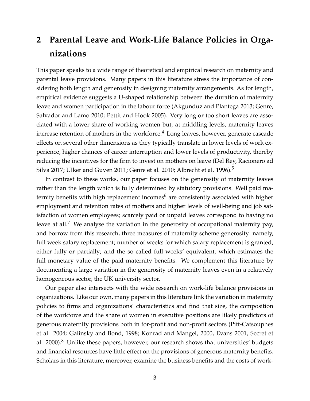## **2 Parental Leave and Work-Life Balance Policies in Organizations**

This paper speaks to a wide range of theoretical and empirical research on maternity and parental leave provisions. Many papers in this literature stress the importance of considering both length and generosity in designing maternity arrangements. As for length, empirical evidence suggests a U-shaped relationship between the duration of maternity leave and women participation in the labour force (Akgunduz and Plantega 2013; Genre, Salvador and Lamo 2010; Pettit and Hook 2005). Very long or too short leaves are associated with a lower share of working women but, at middling levels, maternity leaves increase retention of mothers in the workforce.<sup>4</sup> Long leaves, however, generate cascade effects on several other dimensions as they typically translate in lower levels of work experience, higher chances of career interruption and lower levels of productivity, thereby reducing the incentives for the firm to invest on mothers on leave (Del Rey, Racionero ad Silva 2017; Ulker and Guven 2011; Genre et al. 2010; Albrecht et al. 1996).<sup>5</sup>

In contrast to these works, our paper focuses on the generosity of maternity leaves rather than the length which is fully determined by statutory provisions. Well paid maternity benefits with high replacement incomes $<sup>6</sup>$  are consistently associated with higher</sup> employment and retention rates of mothers and higher levels of well-being and job satisfaction of women employees; scarcely paid or unpaid leaves correspond to having no leave at all.<sup>7</sup> We analyse the variation in the generosity of occupational maternity pay, and borrow from this research, three measures of maternity scheme generosity namely, full week salary replacement; number of weeks for which salary replacement is granted, either fully or partially; and the so called full weeks' equivalent, which estimates the full monetary value of the paid maternity benefits. We complement this literature by documenting a large variation in the generosity of maternity leaves even in a relatively homogeneous sector, the UK university sector.

Our paper also intersects with the wide research on work-life balance provisions in organizations. Like our own, many papers in this literature link the variation in maternity policies to firms and organizations' characteristics and find that size, the composition of the workforce and the share of women in executive positions are likely predictors of generous maternity provisions both in for-profit and non-profit sectors (Pitt-Catsouphes et al. 2004; Galinsky and Bond, 1998; Konrad and Mangel, 2000, Evans 2001, Secret et al. 2000). $8$  Unlike these papers, however, our research shows that universities' budgets and financial resources have little effect on the provisions of generous maternity benefits. Scholars in this literature, moreover, examine the business benefits and the costs of work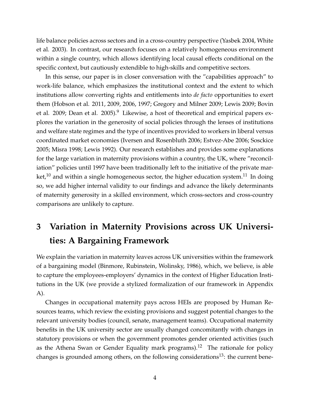life balance policies across sectors and in a cross-country perspective (Yasbek 2004, White et al. 2003). In contrast, our research focuses on a relatively homogeneous environment within a single country, which allows identifying local causal effects conditional on the specific context, but cautiously extendible to high-skills and competitive sectors.

In this sense, our paper is in closer conversation with the "capabilities approach" to work-life balance, which emphasizes the institutional context and the extent to which institutions allow converting rights and entitlements into *de facto* opportunities to exert them (Hobson et al. 2011, 2009, 2006, 1997; Gregory and Milner 2009; Lewis 2009; Bovin et al. 2009; Dean et al. 2005).<sup>9</sup> Likewise, a host of theoretical and empirical papers explores the variation in the generosity of social policies through the lenses of institutions and welfare state regimes and the type of incentives provided to workers in liberal versus coordinated market economies (Iversen and Rosenbluth 2006; Estvez-Abe 2006; Sosckice 2005; Misra 1998; Lewis 1992). Our research establishes and provides some explanations for the large variation in maternity provisions within a country, the UK, where "reconciliation" policies until 1997 have been traditionally left to the initiative of the private market,<sup>10</sup> and within a single homogeneous sector, the higher education system.<sup>11</sup> In doing so, we add higher internal validity to our findings and advance the likely determinants of maternity generosity in a skilled environment, which cross-sectors and cross-country comparisons are unlikely to capture.

## **3 Variation in Maternity Provisions across UK Universities: A Bargaining Framework**

We explain the variation in maternity leaves across UK universities within the framework of a bargaining model (Binmore, Rubinstein, Wolinsky, 1986), which, we believe, is able to capture the employees-employers' dynamics in the context of Higher Education Institutions in the UK (we provide a stylized formalization of our framework in Appendix A).

Changes in occupational maternity pays across HEIs are proposed by Human Resources teams, which review the existing provisions and suggest potential changes to the relevant university bodies (council, senate, management teams). Occupational maternity benefits in the UK university sector are usually changed concomitantly with changes in statutory provisions or when the government promotes gender oriented activities (such as the Athena Swan or Gender Equality mark programs).<sup>12</sup> The rationale for policy changes is grounded among others, on the following considerations $^{13}$ : the current bene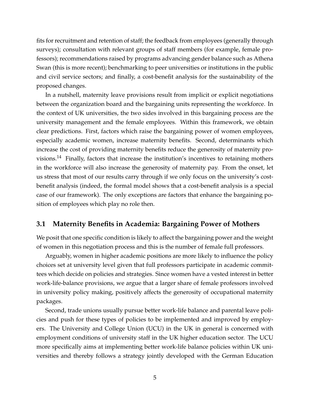fits for recruitment and retention of staff; the feedback from employees (generally through surveys); consultation with relevant groups of staff members (for example, female professors); recommendations raised by programs advancing gender balance such as Athena Swan (this is more recent); benchmarking to peer universities or institutions in the public and civil service sectors; and finally, a cost-benefit analysis for the sustainability of the proposed changes.

In a nutshell, maternity leave provisions result from implicit or explicit negotiations between the organization board and the bargaining units representing the workforce. In the context of UK universities, the two sides involved in this bargaining process are the university management and the female employees. Within this framework, we obtain clear predictions. First, factors which raise the bargaining power of women employees, especially academic women, increase maternity benefits. Second, determinants which increase the cost of providing maternity benefits reduce the generosity of maternity provisions.<sup>14</sup> Finally, factors that increase the institution's incentives to retaining mothers in the workforce will also increase the generosity of maternity pay. From the onset, let us stress that most of our results carry through if we only focus on the university's costbenefit analysis (indeed, the formal model shows that a cost-benefit analysis is a special case of our framework). The only exceptions are factors that enhance the bargaining position of employees which play no role then.

#### **3.1 Maternity Benefits in Academia: Bargaining Power of Mothers**

We posit that one specific condition is likely to affect the bargaining power and the weight of women in this negotiation process and this is the number of female full professors.

Arguably, women in higher academic positions are more likely to influence the policy choices set at university level given that full professors participate in academic committees which decide on policies and strategies. Since women have a vested interest in better work-life-balance provisions, we argue that a larger share of female professors involved in university policy making, positively affects the generosity of occupational maternity packages.

Second, trade unions usually pursue better work-life balance and parental leave policies and push for these types of policies to be implemented and improved by employers. The University and College Union (UCU) in the UK in general is concerned with employment conditions of university staff in the UK higher education sector. The UCU more specifically aims at implementing better work-life balance policies within UK universities and thereby follows a strategy jointly developed with the German Education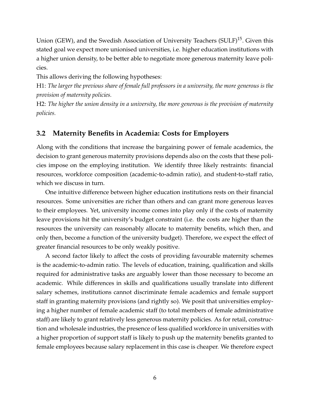Union (GEW), and the Swedish Association of University Teachers (SULF)<sup>15</sup>. Given this stated goal we expect more unionised universities, i.e. higher education institutions with a higher union density, to be better able to negotiate more generous maternity leave policies.

This allows deriving the following hypotheses:

H1: *The larger the previous share of female full professors in a university, the more generous is the provision of maternity policies.*

H2: *The higher the union density in a university, the more generous is the provision of maternity policies.*

#### **3.2 Maternity Benefits in Academia: Costs for Employers**

Along with the conditions that increase the bargaining power of female academics, the decision to grant generous maternity provisions depends also on the costs that these policies impose on the employing institution. We identify three likely restraints: financial resources, workforce composition (academic-to-admin ratio), and student-to-staff ratio, which we discuss in turn.

One intuitive difference between higher education institutions rests on their financial resources. Some universities are richer than others and can grant more generous leaves to their employees. Yet, university income comes into play only if the costs of maternity leave provisions hit the university's budget constraint (i.e. the costs are higher than the resources the university can reasonably allocate to maternity benefits, which then, and only then, become a function of the university budget). Therefore, we expect the effect of greater financial resources to be only weakly positive.

A second factor likely to affect the costs of providing favourable maternity schemes is the academic-to-admin ratio. The levels of education, training, qualification and skills required for administrative tasks are arguably lower than those necessary to become an academic. While differences in skills and qualifications usually translate into different salary schemes, institutions cannot discriminate female academics and female support staff in granting maternity provisions (and rightly so). We posit that universities employing a higher number of female academic staff (to total members of female administrative staff) are likely to grant relatively less generous maternity policies. As for retail, construction and wholesale industries, the presence of less qualified workforce in universities with a higher proportion of support staff is likely to push up the maternity benefits granted to female employees because salary replacement in this case is cheaper. We therefore expect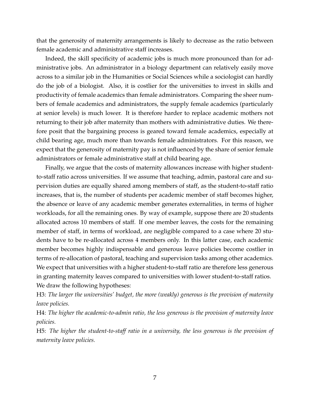that the generosity of maternity arrangements is likely to decrease as the ratio between female academic and administrative staff increases.

Indeed, the skill specificity of academic jobs is much more pronounced than for administrative jobs. An administrator in a biology department can relatively easily move across to a similar job in the Humanities or Social Sciences while a sociologist can hardly do the job of a biologist. Also, it is costlier for the universities to invest in skills and productivity of female academics than female administrators. Comparing the sheer numbers of female academics and administrators, the supply female academics (particularly at senior levels) is much lower. It is therefore harder to replace academic mothers not returning to their job after maternity than mothers with administrative duties. We therefore posit that the bargaining process is geared toward female academics, especially at child bearing age, much more than towards female administrators. For this reason, we expect that the generosity of maternity pay is not influenced by the share of senior female administrators or female administrative staff at child bearing age.

Finally, we argue that the costs of maternity allowances increase with higher studentto-staff ratio across universities. If we assume that teaching, admin, pastoral care and supervision duties are equally shared among members of staff, as the student-to-staff ratio increases, that is, the number of students per academic member of staff becomes higher, the absence or leave of any academic member generates externalities, in terms of higher workloads, for all the remaining ones. By way of example, suppose there are 20 students allocated across 10 members of staff. If one member leaves, the costs for the remaining member of staff, in terms of workload, are negligible compared to a case where 20 students have to be re-allocated across 4 members only. In this latter case, each academic member becomes highly indispensable and generous leave policies become costlier in terms of re-allocation of pastoral, teaching and supervision tasks among other academics. We expect that universities with a higher student-to-staff ratio are therefore less generous in granting maternity leaves compared to universities with lower student-to-staff ratios. We draw the following hypotheses:

H3: *The larger the universities' budget, the more (weakly) generous is the provision of maternity leave policies.*

H4: *The higher the academic-to-admin ratio, the less generous is the provision of maternity leave policies.*

H5: *The higher the student-to-staff ratio in a university, the less generous is the provision of maternity leave policies.*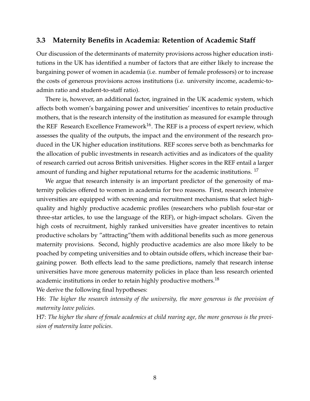#### **3.3 Maternity Benefits in Academia: Retention of Academic Staff**

Our discussion of the determinants of maternity provisions across higher education institutions in the UK has identified a number of factors that are either likely to increase the bargaining power of women in academia (i.e. number of female professors) or to increase the costs of generous provisions across institutions (i.e. university income, academic-toadmin ratio and student-to-staff ratio).

There is, however, an additional factor, ingrained in the UK academic system, which affects both women's bargaining power and universities' incentives to retain productive mothers, that is the research intensity of the institution as measured for example through the REF Research Excellence Framework<sup>16</sup>. The REF is a process of expert review, which assesses the quality of the outputs, the impact and the environment of the research produced in the UK higher education institutions. REF scores serve both as benchmarks for the allocation of public investments in research activities and as indicators of the quality of research carried out across British universities. Higher scores in the REF entail a larger amount of funding and higher reputational returns for the academic institutions.  $17$ 

We argue that research intensity is an important predictor of the generosity of maternity policies offered to women in academia for two reasons. First, research intensive universities are equipped with screening and recruitment mechanisms that select highquality and highly productive academic profiles (researchers who publish four-star or three-star articles, to use the language of the REF), or high-impact scholars. Given the high costs of recruitment, highly ranked universities have greater incentives to retain productive scholars by "attracting"them with additional benefits such as more generous maternity provisions. Second, highly productive academics are also more likely to be poached by competing universities and to obtain outside offers, which increase their bargaining power. Both effects lead to the same predictions, namely that research intense universities have more generous maternity policies in place than less research oriented academic institutions in order to retain highly productive mothers.<sup>18</sup>

We derive the following final hypotheses:

H6: *The higher the research intensity of the university, the more generous is the provision of maternity leave policies.*

H7: *The higher the share of female academics at child rearing age, the more generous is the provision of maternity leave policies.*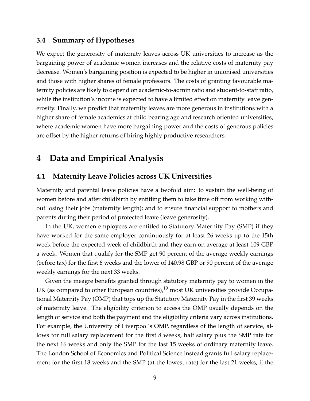#### **3.4 Summary of Hypotheses**

We expect the generosity of maternity leaves across UK universities to increase as the bargaining power of academic women increases and the relative costs of maternity pay decrease. Women's bargaining position is expected to be higher in unionised universities and those with higher shares of female professors. The costs of granting favourable maternity policies are likely to depend on academic-to-admin ratio and student-to-staff ratio, while the institution's income is expected to have a limited effect on maternity leave generosity. Finally, we predict that maternity leaves are more generous in institutions with a higher share of female academics at child bearing age and research oriented universities, where academic women have more bargaining power and the costs of generous policies are offset by the higher returns of hiring highly productive researchers.

## **4 Data and Empirical Analysis**

#### **4.1 Maternity Leave Policies across UK Universities**

Maternity and parental leave policies have a twofold aim: to sustain the well-being of women before and after childbirth by entitling them to take time off from working without losing their jobs (maternity length); and to ensure financial support to mothers and parents during their period of protected leave (leave generosity).

In the UK, women employees are entitled to Statutory Maternity Pay (SMP) if they have worked for the same employer continuously for at least 26 weeks up to the 15th week before the expected week of childbirth and they earn on average at least 109 GBP a week. Women that qualify for the SMP get 90 percent of the average weekly earnings (before tax) for the first 6 weeks and the lower of 140.98 GBP or 90 percent of the average weekly earnings for the next 33 weeks.

Given the meagre benefits granted through statutory maternity pay to women in the UK (as compared to other European countries),  $19$  most UK universities provide Occupational Maternity Pay (OMP) that tops up the Statutory Maternity Pay in the first 39 weeks of maternity leave. The eligibility criterion to access the OMP usually depends on the length of service and both the payment and the eligibility criteria vary across institutions. For example, the University of Liverpool's OMP, regardless of the length of service, allows for full salary replacement for the first 8 weeks, half salary plus the SMP rate for the next 16 weeks and only the SMP for the last 15 weeks of ordinary maternity leave. The London School of Economics and Political Science instead grants full salary replacement for the first 18 weeks and the SMP (at the lowest rate) for the last 21 weeks, if the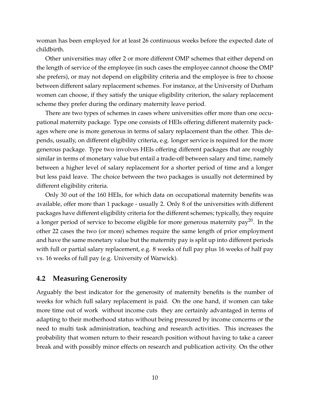woman has been employed for at least 26 continuous weeks before the expected date of childbirth.

Other universities may offer 2 or more different OMP schemes that either depend on the length of service of the employee (in such cases the employee cannot choose the OMP she prefers), or may not depend on eligibility criteria and the employee is free to choose between different salary replacement schemes. For instance, at the University of Durham women can choose, if they satisfy the unique eligibility criterion, the salary replacement scheme they prefer during the ordinary maternity leave period.

There are two types of schemes in cases where universities offer more than one occupational maternity package. Type one consists of HEIs offering different maternity packages where one is more generous in terms of salary replacement than the other. This depends, usually, on different eligibility criteria, e.g. longer service is required for the more generous package. Type two involves HEIs offering different packages that are roughly similar in terms of monetary value but entail a trade-off between salary and time, namely between a higher level of salary replacement for a shorter period of time and a longer but less paid leave. The choice between the two packages is usually not determined by different eligibility criteria.

Only 30 out of the 160 HEIs, for which data on occupational maternity benefits was available, offer more than 1 package - usually 2. Only 8 of the universities with different packages have different eligibility criteria for the different schemes; typically, they require a longer period of service to become eligible for more generous maternity pay<sup>20</sup>. In the other 22 cases the two (or more) schemes require the same length of prior employment and have the same monetary value but the maternity pay is split up into different periods with full or partial salary replacement, e.g. 8 weeks of full pay plus 16 weeks of half pay vs. 16 weeks of full pay (e.g. University of Warwick).

#### **4.2 Measuring Generosity**

Arguably the best indicator for the generosity of maternity benefits is the number of weeks for which full salary replacement is paid. On the one hand, if women can take more time out of work without income cuts they are certainly advantaged in terms of adapting to their motherhood status without being pressured by income concerns or the need to multi task administration, teaching and research activities. This increases the probability that women return to their research position without having to take a career break and with possibly minor effects on research and publication activity. On the other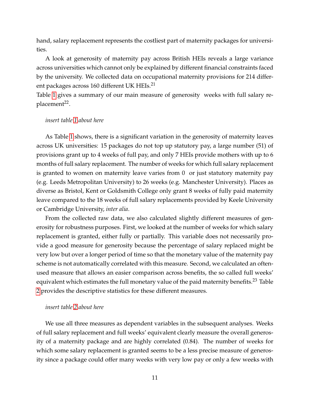hand, salary replacement represents the costliest part of maternity packages for universities.

A look at generosity of maternity pay across British HEIs reveals a large variance across universities which cannot only be explained by different financial constraints faced by the university. We collected data on occupational maternity provisions for 214 different packages across 160 different UK HEIs.<sup>21</sup>

Table [1](#page-31-0) gives a summary of our main measure of generosity weeks with full salary replacement<sup>22</sup>.

#### *insert table [1](#page-31-0) about here*

As Table [1](#page-31-0) shows, there is a significant variation in the generosity of maternity leaves across UK universities: 15 packages do not top up statutory pay, a large number (51) of provisions grant up to 4 weeks of full pay, and only 7 HEIs provide mothers with up to 6 months of full salary replacement. The number of weeks for which full salary replacement is granted to women on maternity leave varies from 0 or just statutory maternity pay (e.g. Leeds Metropolitan University) to 26 weeks (e.g. Manchester University). Places as diverse as Bristol, Kent or Goldsmith College only grant 8 weeks of fully paid maternity leave compared to the 18 weeks of full salary replacements provided by Keele University or Cambridge University, *inter alia*.

From the collected raw data, we also calculated slightly different measures of generosity for robustness purposes. First, we looked at the number of weeks for which salary replacement is granted, either fully or partially. This variable does not necessarily provide a good measure for generosity because the percentage of salary replaced might be very low but over a longer period of time so that the monetary value of the maternity pay scheme is not automatically correlated with this measure. Second, we calculated an oftenused measure that allows an easier comparison across benefits, the so called full weeks' equivalent which estimates the full monetary value of the paid maternity benefits.<sup>23</sup> Table [2](#page-31-0) provides the descriptive statistics for these different measures.

#### *insert table [2](#page-31-0) about here*

We use all three measures as dependent variables in the subsequent analyses. Weeks of full salary replacement and full weeks' equivalent clearly measure the overall generosity of a maternity package and are highly correlated (0.84). The number of weeks for which some salary replacement is granted seems to be a less precise measure of generosity since a package could offer many weeks with very low pay or only a few weeks with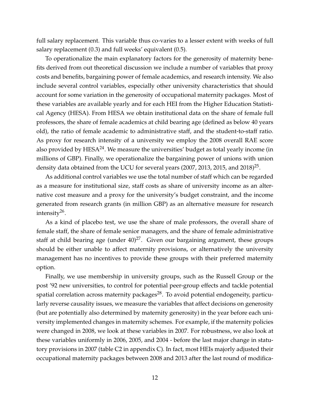full salary replacement. This variable thus co-varies to a lesser extent with weeks of full salary replacement (0.3) and full weeks' equivalent (0.5).

To operationalize the main explanatory factors for the generosity of maternity benefits derived from out theoretical discussion we include a number of variables that proxy costs and benefits, bargaining power of female academics, and research intensity. We also include several control variables, especially other university characteristics that should account for some variation in the generosity of occupational maternity packages. Most of these variables are available yearly and for each HEI from the Higher Education Statistical Agency (HESA). From HESA we obtain institutional data on the share of female full professors, the share of female academics at child bearing age (defined as below 40 years old), the ratio of female academic to administrative staff, and the student-to-staff ratio. As proxy for research intensity of a university we employ the 2008 overall RAE score also provided by  $HESA^{24}$ . We measure the universities' budget as total yearly income (in millions of GBP). Finally, we operationalize the bargaining power of unions with union density data obtained from the UCU for several years (2007, 2013, 2015, and 2018) $^{25}$ .

As additional control variables we use the total number of staff which can be regarded as a measure for institutional size, staff costs as share of university income as an alternative cost measure and a proxy for the university's budget constraint, and the income generated from research grants (in million GBP) as an alternative measure for research intensity<sup>26</sup> .

As a kind of placebo test, we use the share of male professors, the overall share of female staff, the share of female senior managers, and the share of female administrative staff at child bearing age (under  $40)^{27}$ . Given our bargaining argument, these groups should be either unable to affect maternity provisions, or alternatively the university management has no incentives to provide these groups with their preferred maternity option.

Finally, we use membership in university groups, such as the Russell Group or the post '92 new universities, to control for potential peer-group effects and tackle potential spatial correlation across maternity packages<sup>28</sup>. To avoid potential endogeneity, particularly reverse causality issues, we measure the variables that affect decisions on generosity (but are potentially also determined by maternity generosity) in the year before each university implemented changes in maternity schemes. For example, if the maternity policies were changed in 2008, we look at these variables in 2007. For robustness, we also look at these variables uniformly in 2006, 2005, and 2004 - before the last major change in statutory provisions in 2007 (table C2 in appendix C). In fact, most HEIs majorly adjusted their occupational maternity packages between 2008 and 2013 after the last round of modifica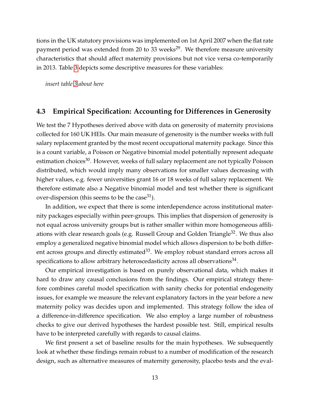tions in the UK statutory provisions was implemented on 1st April 2007 when the flat rate payment period was extended from 20 to 33 weeks<sup>29</sup>. We therefore measure university characteristics that should affect maternity provisions but not vice versa co-temporarily in 2013. Table [3](#page-32-0) depicts some descriptive measures for these variables:

*insert table [3](#page-32-0) about here*

#### **4.3 Empirical Specification: Accounting for Differences in Generosity**

We test the 7 Hypotheses derived above with data on generosity of maternity provisions collected for 160 UK HEIs. Our main measure of generosity is the number weeks with full salary replacement granted by the most recent occupational maternity package. Since this is a count variable, a Poisson or Negative binomial model potentially represent adequate estimation choices<sup>30</sup>. However, weeks of full salary replacement are not typically Poisson distributed, which would imply many observations for smaller values decreasing with higher values, e.g. fewer universities grant 16 or 18 weeks of full salary replacement. We therefore estimate also a Negative binomial model and test whether there is significant over-dispersion (this seems to be the case<sup>31</sup>).

In addition, we expect that there is some interdependence across institutional maternity packages especially within peer-groups. This implies that dispersion of generosity is not equal across university groups but is rather smaller within more homogeneous affiliations with clear research goals (e.g. Russell Group and Golden Triangle<sup>32</sup>. We thus also employ a generalized negative binomial model which allows dispersion to be both different across groups and directly estimated $33$ . We employ robust standard errors across all specifications to allow arbitrary heteroscedasticity across all observations $^{34}$ .

Our empirical investigation is based on purely observational data, which makes it hard to draw any causal conclusions from the findings. Our empirical strategy therefore combines careful model specification with sanity checks for potential endogeneity issues, for example we measure the relevant explanatory factors in the year before a new maternity policy was decides upon and implemented. This strategy follow the idea of a difference-in-difference specification. We also employ a large number of robustness checks to give our derived hypotheses the hardest possible test. Still, empirical results have to be interpreted carefully with regards to causal claims.

We first present a set of baseline results for the main hypotheses. We subsequently look at whether these findings remain robust to a number of modification of the research design, such as alternative measures of maternity generosity, placebo tests and the eval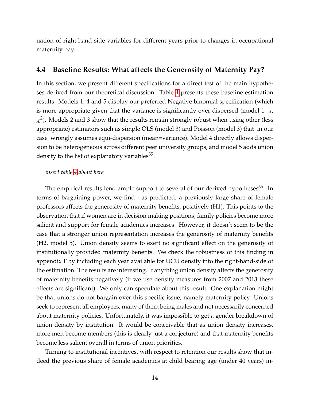uation of right-hand-side variables for different years prior to changes in occupational maternity pay.

#### **4.4 Baseline Results: What affects the Generosity of Maternity Pay?**

In this section, we present different specifications for a direct test of the main hypotheses derived from our theoretical discussion. Table [4](#page-33-0) presents these baseline estimation results. Models 1, 4 and 5 display our preferred Negative binomial specification (which is more appropriate given that the variance is significantly over-dispersed (model 1 *α*,  $\chi^2$ ). Models 2 and 3 show that the results remain strongly robust when using other (less appropriate) estimators such as simple OLS (model 3) and Poisson (model 3) that in our case wrongly assumes equi-dispersion (mean=variance). Model 4 directly allows dispersion to be heterogeneous across different peer university groups, and model 5 adds union density to the list of explanatory variables<sup>35</sup>.

#### *insert table [4](#page-33-0) about here*

The empirical results lend ample support to several of our derived hypotheses<sup>36</sup>. In terms of bargaining power, we find - as predicted, a previously large share of female professors affects the generosity of maternity benefits, positively (H1). This points to the observation that if women are in decision making positions, family policies become more salient and support for female academics increases. However, it doesn't seem to be the case that a stronger union representation increases the generosity of maternity benefits (H2, model 5). Union density seems to exert no significant effect on the generosity of institutionally provided maternity benefits. We check the robustness of this finding in appendix F by including each year available for UCU density into the right-hand-side of the estimation. The results are interesting. If anything union density affects the generosity of maternity benefits negatively (if we use density measures from 2007 and 2013 these effects are significant). We only can speculate about this result. One explanation might be that unions do not bargain over this specific issue, namely maternity policy. Unions seek to represent all employees, many of them being males and not necessarily concerned about maternity policies. Unfortunately, it was impossible to get a gender breakdown of union density by institution. It would be conceivable that as union density increases, more men become members (this is clearly just a conjecture) and that maternity benefits become less salient overall in terms of union priorities.

Turning to institutional incentives, with respect to retention our results show that indeed the previous share of female academics at child bearing age (under 40 years) in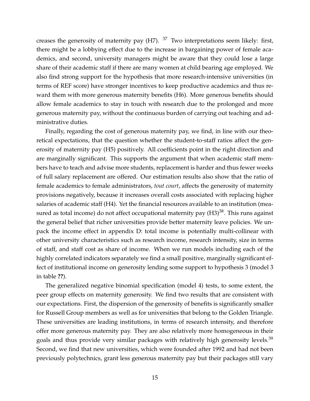creases the generosity of maternity pay  $(H7)$ .  $37$  Two interpretations seem likely: first, there might be a lobbying effect due to the increase in bargaining power of female academics, and second, university managers might be aware that they could lose a large share of their academic staff if there are many women at child bearing age employed. We also find strong support for the hypothesis that more research-intensive universities (in terms of REF score) have stronger incentives to keep productive academics and thus reward them with more generous maternity benefits (H6). More generous benefits should allow female academics to stay in touch with research due to the prolonged and more generous maternity pay, without the continuous burden of carrying out teaching and administrative duties.

Finally, regarding the cost of generous maternity pay, we find, in line with our theoretical expectations, that the question whether the student-to-staff ratios affect the generosity of maternity pay (H5) positively. All coefficients point in the right direction and are marginally significant. This supports the argument that when academic staff members have to teach and advise more students, replacement is harder and thus fewer weeks of full salary replacement are offered. Our estimation results also show that the ratio of female academics to female administrators, *tout court*, affects the generosity of maternity provisions negatively, because it increases overall costs associated with replacing higher salaries of academic staff (H4). Yet the financial resources available to an institution (measured as total income) do not affect occupational maternity pay  $(H3)^{38}$ . This runs against the general belief that richer universities provide better maternity leave policies. We unpack the income effect in appendix D: total income is potentially multi-collinear with other university characteristics such as research income, research intensity, size in terms of staff, and staff cost as share of income. When we run models including each of the highly correlated indicators separately we find a small positive, marginally significant effect of institutional income on generosity lending some support to hypothesis 3 (model 3 in table **??**).

The generalized negative binomial specification (model 4) tests, to some extent, the peer group effects on maternity generosity. We find two results that are consistent with our expectations. First, the dispersion of the generosity of benefits is significantly smaller for Russell Group members as well as for universities that belong to the Golden Triangle. These universities are leading institutions, in terms of research intensity, and therefore offer more generous maternity pay. They are also relatively more homogeneous in their goals and thus provide very similar packages with relatively high generosity levels.<sup>39</sup> Second, we find that new universities, which were founded after 1992 and had not been previously polytechnics, grant less generous maternity pay but their packages still vary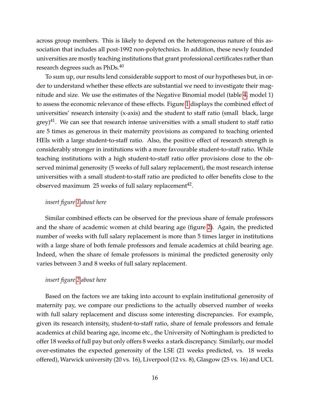across group members. This is likely to depend on the heterogeneous nature of this association that includes all post-1992 non-polytechnics. In addition, these newly founded universities are mostly teaching institutions that grant professional certificates rather than research degrees such as PhDs.<sup>40</sup>

To sum up, our results lend considerable support to most of our hypotheses but, in order to understand whether these effects are substantial we need to investigate their magnitude and size. We use the estimates of the Negative Binomial model (table [4,](#page-33-0) model 1) to assess the economic relevance of these effects. Figure [1](#page-32-0) displays the combined effect of universities' research intensity (x-axis) and the student to staff ratio (small black, large  $grey$ <sup>41</sup>. We can see that research intense universities with a small student to staff ratio are 5 times as generous in their maternity provisions as compared to teaching oriented HEIs with a large student-to-staff ratio. Also, the positive effect of research strength is considerably stronger in institutions with a more favourable student-to-staff ratio. While teaching institutions with a high student-to-staff ratio offer provisions close to the observed minimal generosity (5 weeks of full salary replacement), the most research intense universities with a small student-to-staff ratio are predicted to offer benefits close to the observed maximum  $25$  weeks of full salary replacement $^{42}$ .

#### *insert figure [1](#page-32-0) about here*

Similar combined effects can be observed for the previous share of female professors and the share of academic women at child bearing age (figure [2\)](#page-36-0). Again, the predicted number of weeks with full salary replacement is more than 5 times larger in institutions with a large share of both female professors and female academics at child bearing age. Indeed, when the share of female professors is minimal the predicted generosity only varies between 3 and 8 weeks of full salary replacement.

#### *insert figure [2](#page-36-0) about here*

Based on the factors we are taking into account to explain institutional generosity of maternity pay, we compare our predictions to the actually observed number of weeks with full salary replacement and discuss some interesting discrepancies. For example, given its research intensity, student-to-staff ratio, share of female professors and female academics at child bearing age, income etc., the University of Nottingham is predicted to offer 18 weeks of full pay but only offers 8 weeks a stark discrepancy. Similarly, our model over-estimates the expected generosity of the LSE (21 weeks predicted, vs. 18 weeks offered), Warwick university (20 vs. 16), Liverpool (12 vs. 8), Glasgow (25 vs. 16) and UCL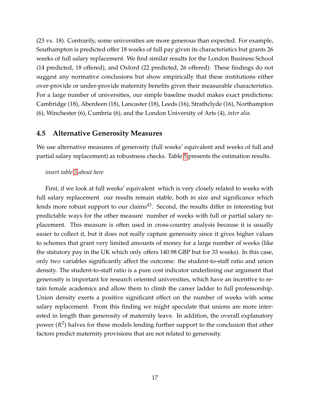(23 vs. 18). Contrarily, some universities are more generous than expected. For example, Southampton is predicted offer 18 weeks of full pay given its characteristics but grants 26 weeks of full salary replacement. We find similar results for the London Business School (14 predicted, 18 offered), and Oxford (22 predicted, 26 offered). These findings do not suggest any normative conclusions but show empirically that these institutions either over-provide or under-provide maternity benefits given their measurable characteristics. For a large number of universities, our simple baseline model makes exact predictions: Cambridge (18), Aberdeen (18), Lancaster (18), Leeds (16), Strathclyde (16), Northampton (6), Winchester (6), Cumbria (6), and the London University of Arts (4), *inter alia*.

#### **4.5 Alternative Generosity Measures**

We use alternative measures of generosity (full weeks' equivalent and weeks of full and partial salary replacement) as robustness checks. Table [5](#page-34-0) presents the estimation results.

#### *insert table [5](#page-34-0) about here*

First, if we look at full weeks' equivalent which is very closely related to weeks with full salary replacement our results remain stable, both in size and significance which lends more robust support to our claims<sup>43</sup>. Second, the results differ in interesting but predictable ways for the other measure number of weeks with full or partial salary replacement. This measure is often used in cross-country analysis because it is usually easier to collect it, but it does not really capture generosity since it gives higher values to schemes that grant very limited amounts of money for a large number of weeks (like the statutory pay in the UK which only offers 140.98 GBP but for 33 weeks). In this case, only two variables significantly affect the outcome: the student-to-staff ratio and union density. The student-to-staff ratio is a pure cost indicator underlining our argument that generosity is important for research oriented universities, which have an incentive to retain female academics and allow them to climb the career ladder to full professorship. Union density exerts a positive significant effect on the number of weeks with some salary replacement. From this finding we might speculate that unions are more interested in length than generosity of maternity leave. In addition, the overall explanatory power ( $R<sup>2</sup>$ ) halves for these models lending further support to the conclusion that other factors predict maternity provisions that are not related to generosity.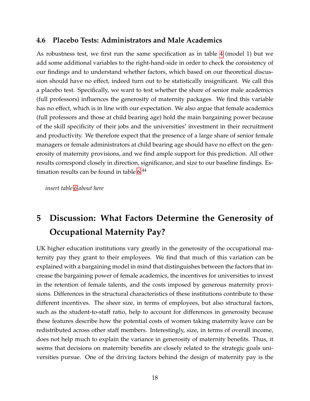#### **4.6 Placebo Tests: Administrators and Male Academics**

As robustness test, we first run the same specification as in table [4](#page-33-0) (model 1) but we add some additional variables to the right-hand-side in order to check the consistency of our findings and to understand whether factors, which based on our theoretical discussion should have no effect, indeed turn out to be statistically insignificant. We call this a placebo test. Specifically, we want to test whether the share of senior male academics (full professors) influences the generosity of maternity packages. We find this variable has no effect, which is in line with our expectation. We also argue that female academics (full professors and those at child bearing age) hold the main bargaining power because of the skill specificity of their jobs and the universities' investment in their recruitment and productivity. We therefore expect that the presence of a large share of senior female managers or female administrators at child bearing age should have no effect on the generosity of maternity provisions, and we find ample support for this prediction. All other results correspond closely in direction, significance, and size to our baseline findings. Estimation results can be found in table  $6<sup>44</sup>$ 

*insert table [6](#page-35-0) about here*

## **5 Discussion: What Factors Determine the Generosity of Occupational Maternity Pay?**

UK higher education institutions vary greatly in the generosity of the occupational maternity pay they grant to their employees. We find that much of this variation can be explained with a bargaining model in mind that distinguishes between the factors that increase the bargaining power of female academics, the incentives for universities to invest in the retention of female talents, and the costs imposed by generous maternity provisions. Differences in the structural characteristics of these institutions contribute to these different incentives. The sheer size, in terms of employees, but also structural factors, such as the student-to-staff ratio, help to account for differences in generosity because these features describe how the potential costs of women taking maternity leave can be redistributed across other staff members. Interestingly, size, in terms of overall income, does not help much to explain the variance in generosity of maternity benefits. Thus, it seems that decisions on maternity benefits are closely related to the strategic goals universities pursue. One of the driving factors behind the design of maternity pay is the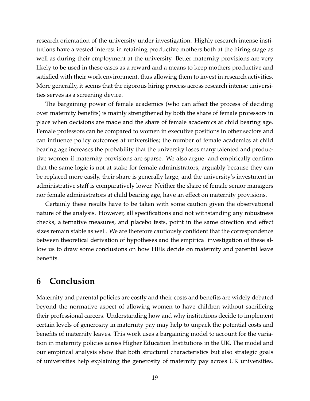research orientation of the university under investigation. Highly research intense institutions have a vested interest in retaining productive mothers both at the hiring stage as well as during their employment at the university. Better maternity provisions are very likely to be used in these cases as a reward and a means to keep mothers productive and satisfied with their work environment, thus allowing them to invest in research activities. More generally, it seems that the rigorous hiring process across research intense universities serves as a screening device.

The bargaining power of female academics (who can affect the process of deciding over maternity benefits) is mainly strengthened by both the share of female professors in place when decisions are made and the share of female academics at child bearing age. Female professors can be compared to women in executive positions in other sectors and can influence policy outcomes at universities; the number of female academics at child bearing age increases the probability that the university loses many talented and productive women if maternity provisions are sparse. We also argue and empirically confirm that the same logic is not at stake for female administrators, arguably because they can be replaced more easily, their share is generally large, and the university's investment in administrative staff is comparatively lower. Neither the share of female senior managers nor female administrators at child bearing age, have an effect on maternity provisions.

Certainly these results have to be taken with some caution given the observational nature of the analysis. However, all specifications and not withstanding any robustness checks, alternative measures, and placebo tests, point in the same direction and effect sizes remain stable as well. We are therefore cautiously confident that the correspondence between theoretical derivation of hypotheses and the empirical investigation of these allow us to draw some conclusions on how HEIs decide on maternity and parental leave benefits.

### **6 Conclusion**

Maternity and parental policies are costly and their costs and benefits are widely debated beyond the normative aspect of allowing women to have children without sacrificing their professional careers. Understanding how and why institutions decide to implement certain levels of generosity in maternity pay may help to unpack the potential costs and benefits of maternity leaves. This work uses a bargaining model to account for the variation in maternity policies across Higher Education Institutions in the UK. The model and our empirical analysis show that both structural characteristics but also strategic goals of universities help explaining the generosity of maternity pay across UK universities.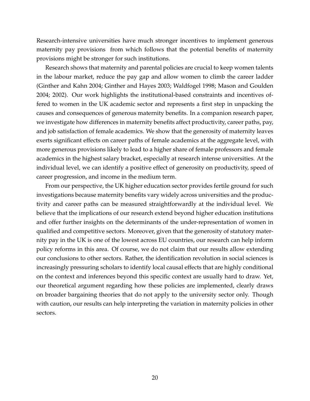Research-intensive universities have much stronger incentives to implement generous maternity pay provisions from which follows that the potential benefits of maternity provisions might be stronger for such institutions.

Research shows that maternity and parental policies are crucial to keep women talents in the labour market, reduce the pay gap and allow women to climb the career ladder (Ginther and Kahn 2004; Ginther and Hayes 2003; Waldfogel 1998; Mason and Goulden 2004; 2002). Our work highlights the institutional-based constraints and incentives offered to women in the UK academic sector and represents a first step in unpacking the causes and consequences of generous maternity benefits. In a companion research paper, we investigate how differences in maternity benefits affect productivity, career paths, pay, and job satisfaction of female academics. We show that the generosity of maternity leaves exerts significant effects on career paths of female academics at the aggregate level, with more generous provisions likely to lead to a higher share of female professors and female academics in the highest salary bracket, especially at research intense universities. At the individual level, we can identify a positive effect of generosity on productivity, speed of career progression, and income in the medium term.

From our perspective, the UK higher education sector provides fertile ground for such investigations because maternity benefits vary widely across universities and the productivity and career paths can be measured straightforwardly at the individual level. We believe that the implications of our research extend beyond higher education institutions and offer further insights on the determinants of the under-representation of women in qualified and competitive sectors. Moreover, given that the generosity of statutory maternity pay in the UK is one of the lowest across EU countries, our research can help inform policy reforms in this area. Of course, we do not claim that our results allow extending our conclusions to other sectors. Rather, the identification revolution in social sciences is increasingly pressuring scholars to identify local causal effects that are highly conditional on the context and inferences beyond this specific context are usually hard to draw. Yet, our theoretical argument regarding how these policies are implemented, clearly draws on broader bargaining theories that do not apply to the university sector only. Though with caution, our results can help interpreting the variation in maternity policies in other sectors.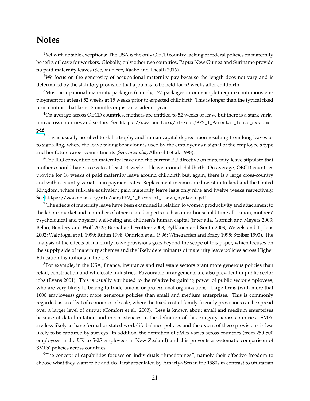### **Notes**

 $<sup>1</sup>$ Yet with notable exceptions: The USA is the only OECD country lacking of federal policies on maternity</sup> benefits of leave for workers. Globally, only other two countries, Papua New Guinea and Suriname provide no paid maternity leaves (See, *inter alia*, Raabe and Theall (2016).

<sup>2</sup>We focus on the generosity of occupational maternity pay because the length does not vary and is determined by the statutory provision that a job has to be held for 52 weeks after childbirth.

<sup>3</sup>Most occupational maternity packages (namely, 127 packages in our sample) require continuous employment for at least 52 weeks at 15 weeks prior to expected childbirth. This is longer than the typical fixed term contract that lasts 12 months or just an academic year.

<sup>4</sup>On average across OECD countries, mothers are entitled to 52 weeks of leave but there is a stark variation across countries and sectors. See [https://www.oecd.org/els/soc/PF2\\_1\\_Parental\\_leave\\_systems.](https://www.oecd.org/els/soc/PF2_1_Parental_leave_systems.pdf) [pdf](https://www.oecd.org/els/soc/PF2_1_Parental_leave_systems.pdf)

<sup>5</sup>This is usually ascribed to skill atrophy and human capital depreciation resulting from long leaves or to signalling, where the leave taking behaviour is used by the employer as a signal of the employee's type and her future career commitments (See, *inter alia*, Albrecht et al. 1998).

<sup>6</sup>The ILO convention on maternity leave and the current EU directive on maternity leave stipulate that mothers should have access to at least 14 weeks of leave around childbirth. On average, OECD countries provide for 18 weeks of paid maternity leave around childbirth but, again, there is a large cross-country and within-country variation in payment rates. Replacement incomes are lowest in Ireland and the United Kingdom, where full-rate equivalent paid maternity leave lasts only nine and twelve weeks respectively. See [https://www.oecd.org/els/soc/PF2\\_1\\_Parental\\_leave\\_systems.pdf.](https://www.oecd.org/els/soc/PF2_1_Parental_leave_systems.pdf.)

 $<sup>7</sup>$  The effects of maternity leave have been examined in relation to women productivity and attachment to</sup> the labour market and a number of other related aspects such as intra-household time allocation, mothers' psychological and physical well-being and children's human capital (inter alia, Gornick and Meyers 2003; Belbo, Bendery and Wolf 2009; Bernal and Fruttero 2008; Pylkknen and Smith 2003; Wetzels and Tijdens 2002; Waldfogel et al. 1999; Ruhm 1998; Ondrich et al. 1996; Winegarden and Bracy 1995; Stoiber 1990). The analysis of the effects of maternity leave provisions goes beyond the scope of this paper, which focuses on the supply side of maternity schemes and the likely determinants of maternity leave policies across Higher Education Institutions in the UK.

<sup>8</sup>For example, in the USA, finance, insurance and real estate sectors grant more generous policies than retail, construction and wholesale industries. Favourable arrangements are also prevalent in public sector jobs (Evans 2001). This is usually attributed to the relative bargaining power of public sector employees, who are very likely to belong to trade unions or professional organizations. Large firms (with more that 1000 employees) grant more generous policies than small and medium enterprises. This is commonly regarded as an effect of economies of scale, where the fixed cost of family-friendly provisions can be spread over a larger level of output (Comfort et al. 2003). Less is known about small and medium enterprises because of data limitation and inconsistencies in the definition of this category across countries. SMEs are less likely to have formal or stated work-life balance policies and the extent of these provisions is less likely to be captured by surveys. In addition, the definition of SMEs varies across countries (from 250-500 employees in the UK to 5-25 employees in New Zealand) and this prevents a systematic comparison of SMEs' policies across countries.

<sup>9</sup>The concept of capabilities focuses on individuals "functionings", namely their effective freedom to choose what they want to be and do. First articulated by Amartya Sen in the 1980s in contrast to utilitarian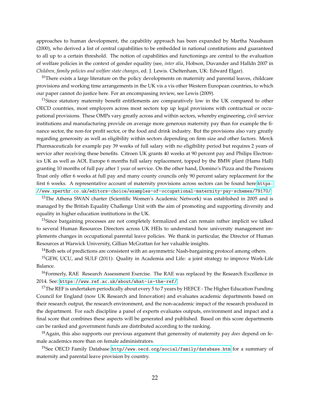approaches to human development, the capability approach has been expanded by Martha Nussbaum (2000), who derived a list of central capabilities to be embedded in national constitutions and guaranteed to all up to a certain threshold. The notion of capabilities and functionings are central to the evaluation of welfare policies in the context of gender equality (see, *inter alia*, Hobson, Duvander and Halldn 2007 in *Children, family policies and welfare state changes*, ed. J. Lewis. Cheltenham, UK: Edward Elgar).

 $10$ There exists a large literature on the policy developments on maternity and parental leaves, childcare provisions and working time arrangements in the UK vis a vis other Western European countries, to which our paper cannot do justice here. For an encompassing review, see Lewis (2009).

 $11$ Since statutory maternity benefit entitlements are comparatively low in the UK compared to other OECD countries, most employers across most sectors top up legal provisions with contractual or occupational provisions. These OMPs vary greatly across and within sectors, whereby engineering, civil service institutions and manufacturing provide on average more generous maternity pay than for example the finance sector, the non-for profit sector, or the food and drink industry. But the provisions also vary greatly regarding generosity as well as eligibility within sectors depending on firm size and other factors. Merck Pharmaceuticals for example pay 39 weeks of full salary with no eligibility period but requires 2 years of service after receiving these benefits. Citroen UK grants 40 weeks at 90 percent pay and Philips Electronics UK as well as AOL Europe 6 months full salary replacement, topped by the BMW plant (Hams Hall) granting 10 months of full pay after 1 year of service. On the other hand, Domino's Pizza and the Pensions Trust only offer 6 weeks at full pay and many county councils only 90 percent salary replacement for the first 6 weeks. A representative account of maternity provisions across sectors can be found here:[https:](https://www.xperthr.co.uk/editors-choice/examples-of-occupational-maternity-pay-schemes/79170/) [//www.xperthr.co.uk/editors-choice/examples-of-occupational-maternity-pay-schemes/79170/](https://www.xperthr.co.uk/editors-choice/examples-of-occupational-maternity-pay-schemes/79170/)

<sup>12</sup>The Athena SWAN charter (Scientific Women's Academic Network) was established in 2005 and is managed by the British Equality Challenge Unit with the aim of promoting and supporting diversity and equality in higher education institutions in the UK.

<sup>13</sup>Since bargaining processes are not completely formalized and can remain rather implicit we talked to several Human Resources Directors across UK HEIs to understand how university management implements changes in occupational parental leave policies. We thank in particular, the Director of Human Resources at Warwick University, Gillian McGrattan for her valuable insights.

 $14$ Both sets of predictions are consistent with an asymmetric Nash-bargaining protocol among others.

<sup>15</sup>GEW, UCU, and SULF (2011): Quality in Academia and Life: a joint strategy to improve Work-Life Balance.

<sup>16</sup>Formerly, RAE Research Assessment Exercise. The RAE was replaced by the Research Excellence in 2014. See: <https://www.ref.ac.uk/about/what-is-the-ref/>

<sup>17</sup>The REF is undertaken periodically about every 5 to 7 years by HEFCE - The Higher Education Funding Council for England (now UK Research and Innovation) and evaluates academic departments based on their research output, the research environment, and the non-academic impact of the research produced in the department. For each discipline a panel of experts evaluates outputs, environment and impact and a final score that combines these aspects will be generated and published. Based on this score departments can be ranked and government funds are distributed according to the ranking.

<sup>18</sup>Again, this also supports our previous argument that generosity of maternity pay *does* depend on female academics more than on female administrators.

<sup>19</sup>See OECD Family Database <http//www.oecd.org/social/family/database.htm> for a summary of maternity and parental leave provision by country.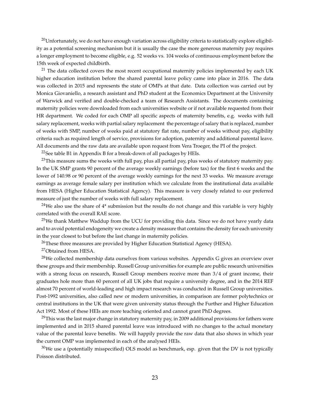$^{20}$ Unfortunately, we do not have enough variation across eligibility criteria to statistically explore eligibility as a potential screening mechanism but it is usually the case the more generous maternity pay requires a longer employment to become eligible, e.g. 52 weeks vs. 104 weeks of continuous employment before the 15th week of expected childbirth.

 $21$  The data collected covers the most recent occupational maternity policies implemented by each UK higher education institution before the shared parental leave policy came into place in 2016. The data was collected in 2015 and represents the state of OMPs at that date. Data collection was carried out by Monica Giovaniello, a research assistant and PhD student at the Economics Department at the University of Warwick and verified and double-checked a team of Research Assistants. The documents containing maternity policies were downloaded from each universities website or if not available requested from their HR department. We coded for each OMP all specific aspects of maternity benefits, e.g. weeks with full salary replacement, weeks with partial salary replacement the percentage of salary that is replaced, number of weeks with SMP, number of weeks paid at statutory flat rate, number of weeks without pay, eligibility criteria such as required length of service, provisions for adoption, paternity and additional parental leave. All documents and the raw data are available upon request from Vera Troeger, the PI of the project.

<sup>22</sup>See table B1 in Appendix B for a break-down of all packages by HEIs.

 $^{23}$ This measure sums the weeks with full pay, plus all partial pay, plus weeks of statutory maternity pay. In the UK SMP grants 90 percent of the average weekly earnings (before tax) for the first 6 weeks and the lower of 140.98 or 90 percent of the average weekly earnings for the next 33 weeks. We measure average earnings as average female salary per institution which we calculate from the institutional data available from HESA (Higher Education Statistical Agency). This measure is very closely related to our preferred measure of just the number of weeks with full salary replacement.

 $24$ We also use the share of  $4*$  submission but the results do not change and this variable is very highly correlated with the overall RAE score.

<sup>25</sup>We thank Matthew Waddup from the UCU for providing this data. Since we do not have yearly data and to avoid potential endogeneity we create a density measure that contains the density for each university in the year closest to but before the last change in maternity policies.

<sup>26</sup>These three measures are provided by Higher Education Statistical Agency (HESA).

<sup>27</sup>Obtained from HESA.

 $28$ We collected membership data ourselves from various websites. Appendix G gives an overview over these groups and their membership. Russell Group universities for example are public research universities with a strong focus on research, Russell Group members receive more than 3/4 of grant income, their graduates hole more than 60 percent of all UK jobs that require a university degree, and in the 2014 REF almost 70 percent of world-leading and high impact research was conducted in Russell Group universities. Post-1992 universities, also called new or modern universities, in comparison are former polytechnics or central institutions in the UK that were given university status through the Further and Higher Education Act 1992. Most of these HEIs are more teaching oriented and cannot grant PhD degrees.

 $^{29}$ This was the last major change in statutory maternity pay, in 2009 additional provisions for fathers were implemented and in 2015 shared parental leave was introduced with no changes to the actual monetary value of the parental leave benefits. We will happily provide the raw data that also shows in which year the current OMP was implemented in each of the analysed HEIs.

 $30$ We use a (potentially misspecified) OLS model as benchmark, esp. given that the DV is not typically Poisson distributed.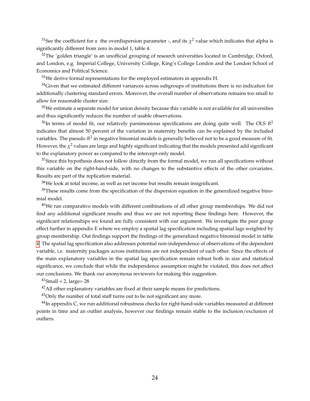<sup>31</sup>See the coefficient for *α* the overdispersion parameter -, and its  $\chi^2$  value which indicates that alpha is significantly different from zero in model 1, table 4.

 $32$ The 'golden triangle' is an unofficial grouping of research universities located in Cambridge, Oxford, and London, e.g. Imperial College, University College, King's College London and the London School of Economics and Political Science.

 $33$ We derive formal representations for the employed estimators in appendix H.

 $34$ Given that we estimated different variances across subgroups of institutions there is no indication for additionally clustering standard errors. Moreover, the overall number of observations remains too small to allow for reasonable cluster size.

 $35$ We estimate a separate model for union density because this variable is not available for all universities and thus significantly reduces the number of usable observations.

 $^{36}$ In terms of model fit, our relatively parsimonious specifications are doing quite well. The OLS  $R^2$ indicates that almost 50 percent of the variation in maternity benefits can be explained by the included variables. The pseudo R<sup>2</sup> in negative binomial models is generally believed not to be a good measure of fit. However, the  $\chi^2$  values are large and highly significant indicating that the models presented add significant to the explanatory power as compared to the intercept-only model.

 $37$ Since this hypothesis does not follow directly from the formal model, we run all specifications without this variable on the right-hand-side, with no changes to the substantive effects of the other covariates. Results are part of the replication material.

 $38$ We look at total income, as well as net income but results remain insignificant.

 $39$ These results come from the specification of the dispersion equation in the generalized negative binomial model.

 $40$ We ran comparative models with different combinations of all other group memberships. We did not find any additional significant results and thus we are not reporting these findings here. However, the significant relationships we found are fully consistent with our argument. We investigate the peer group effect further in appendix E where we employ a spatial lag specification including spatial lags weighted by group membership. Out findings support the findings of the generalized negative binomial model in table [4.](#page-33-0) The spatial lag specification also addresses potential non-independence of observations of the dependent variable, i.e. maternity packages across institutions are not independent of each other. Since the effects of the main explanatory variables in the spatial lag specification remain robust both in size and statistical significance, we conclude that while the independence assumption might be violated, this does not affect our conclusions. We thank our anonymous reviewers for making this suggestion.

 $^{41}$ Small = 2, large= 28

<sup>42</sup>All other explanatory variables are fixed at their sample means for predictions.

 $43$ Only the number of total staff turns out to be not significant any more.

 $^{44}$ In appendix C, we run additional robustness checks for right-hand-side variables measured at different points in time and an outlier analysis, however our findings remain stable to the inclusion/exclusion of outliers.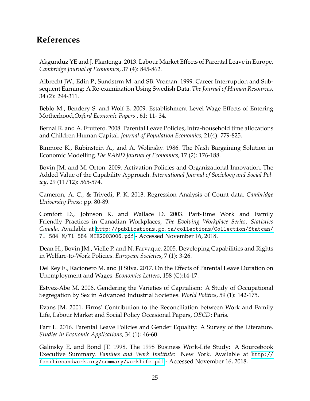## **References**

Akgunduz YE and J. Plantenga. 2013. Labour Market Effects of Parental Leave in Europe. *Cambridge Journal of Economics*, 37 (4): 845-862.

Albrecht JW., Edin P., Sundstrm M. and SB. Vroman. 1999. Career Interruption and Subsequent Earning: A Re-examination Using Swedish Data. *The Journal of Human Resources*, 34 (2): 294-311.

Beblo M., Bendery S. and Wolf E. 2009. Establishment Level Wage Effects of Entering Motherhood,*Oxford Economic Papers* , 61: 11- 34.

Bernal R. and A. Fruttero. 2008. Parental Leave Policies, Intra-household time allocations and Children Human Capital. *Journal of Population Economics*, 21(4): 779-825.

Binmore K., Rubinstein A., and A. Wolinsky. 1986. The Nash Bargaining Solution in Economic Modelling.*The RAND Journal of Economics*, 17 (2): 176-188.

Bovin JM. and M. Orton. 2009. Activation Policies and Organizational Innovation. The Added Value of the Capability Approach. *International Journal of Sociology and Social Policy*, 29 (11/12): 565-574.

Cameron, A. C., & Trivedi, P. K. 2013. Regression Analysis of Count data. *Cambridge University Press*: pp. 80-89.

Comfort D., Johnson K. and Wallace D. 2003. Part-Time Work and Family Friendly Practices in Canadian Workplaces, *The Evolving Workplace Series, Statistics Canada*. Available at [http://publications.gc.ca/collections/Collection/Statcan/](http://publications.gc.ca/collections/Collection/Statcan/71-584-M/71-584-MIE2003006.pdf) [71-584-M/71-584-MIE2003006.pdf](http://publications.gc.ca/collections/Collection/Statcan/71-584-M/71-584-MIE2003006.pdf) - Accessed November 16, 2018.

Dean H., Bovin JM., Vielle P. and N. Farvaque. 2005. Developing Capabilities and Rights in Welfare-to-Work Policies. *European Societies*, 7 (1): 3-26.

Del Rey E., Racionero M. and JI Silva. 2017. On the Effects of Parental Leave Duration on Unemployment and Wages. *Economics Letters*, 158 (C):14-17.

Estvez-Abe M. 2006. Gendering the Varieties of Capitalism: A Study of Occupational Segregation by Sex in Advanced Industrial Societies. *World Politics*, 59 (1): 142-175.

Evans JM. 2001. Firms' Contribution to the Reconciliation between Work and Family Life, Labour Market and Social Policy Occasional Papers, *OECD*: Paris.

Farr L. 2016. Parental Leave Policies and Gender Equality: A Survey of the Literature. *Studies in Economic Applications*, 34 (1): 46-60.

Galinsky E. and Bond JT. 1998. The 1998 Business Work-Life Study: A Sourcebook Executive Summary. *Families and Work Institute*: New York. Available at [http://](http://familiesandwork.org/summary/worklife.pdf) [familiesandwork.org/summary/worklife.pdf](http://familiesandwork.org/summary/worklife.pdf) - Accessed November 16, 2018.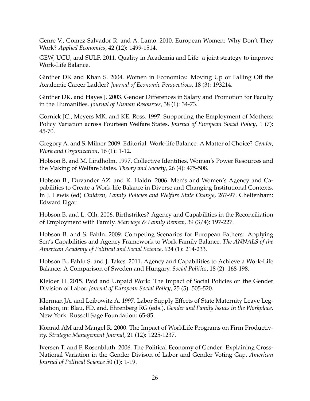Genre V., Gomez-Salvador R. and A. Lamo. 2010. European Women: Why Don't They Work? *Applied Economics*, 42 (12): 1499-1514.

GEW, UCU, and SULF. 2011. Quality in Academia and Life: a joint strategy to improve Work-Life Balance.

Ginther DK and Khan S. 2004. Women in Economics: Moving Up or Falling Off the Academic Career Ladder? *Journal of Economic Perspectives*, 18 (3): 193214.

Ginther DK. and Hayes J. 2003. Gender Differences in Salary and Promotion for Faculty in the Humanities. *Journal of Human Resources*, 38 (1): 34-73.

Gornick JC., Meyers MK. and KE. Ross. 1997. Supporting the Employment of Mothers: Policy Variation across Fourteen Welfare States. *Journal of European Social Policy*, 1 (7): 45-70.

Gregory A. and S. Milner. 2009. Editorial: Work-life Balance: A Matter of Choice? *Gender, Work and Organization*, 16 (1): 1-12.

Hobson B. and M. Lindholm. 1997. Collective Identities, Women's Power Resources and the Making of Welfare States. *Theory and Society*, 26 (4): 475-508.

Hobson B., Duvander AZ. and K. Haldn. 2006. Men's and Women's Agency and Capabilities to Create a Work-life Balance in Diverse and Changing Institutional Contexts. In J. Lewis (ed) *Children, Family Policies and Welfare State Change*, 267-97. Cheltenham: Edward Elgar.

Hobson B. and L. Olh. 2006. Birthstrikes? Agency and Capabilities in the Reconciliation of Employment with Family. *Marriage & Family Review*, 39 (3/4): 197-227.

Hobson B. and S. Fahln. 2009. Competing Scenarios for European Fathers: Applying Sen's Capabilities and Agency Framework to Work-Family Balance. *The ANNALS of the American Academy of Political and Social Science*, 624 (1): 214-233.

Hobson B., Fahln S. and J. Takcs. 2011. Agency and Capabilities to Achieve a Work-Life Balance: A Comparison of Sweden and Hungary. *Social Politics*, 18 (2): 168-198.

Kleider H. 2015. Paid and Unpaid Work: The Impact of Social Policies on the Gender Division of Labor. *Journal of European Social Policy*, 25 (5): 505-520.

Klerman JA. and Leibowitz A. 1997. Labor Supply Effects of State Maternity Leave Legislation, in: Blau, FD. and. Ehrenberg RG (eds.), *Gender and Family Issues in the Workplace*. New York: Russell Sage Foundation: 65-85.

Konrad AM and Mangel R. 2000. The Impact of WorkLife Programs on Firm Productivity. *Strategic Management Journal*, 21 (12): 1225-1237.

Iversen T. and F. Rosenbluth. 2006. The Political Economy of Gender: Explaining Cross-National Variation in the Gender Divison of Labor and Gender Voting Gap. *American Journal of Political Science* 50 (1): 1-19.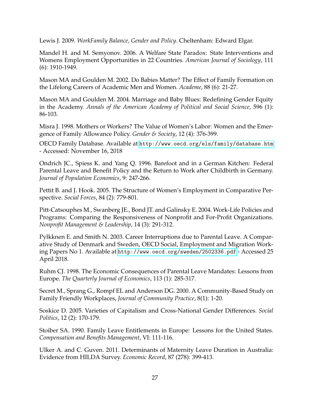Lewis J. 2009. *WorkFamily Balance, Gender and Policy*. Cheltenham: Edward Elgar.

Mandel H. and M. Semyonov. 2006. A Welfare State Paradox: State Interventions and Womens Employment Opportunities in 22 Countries. *American Journal of Sociology*, 111 (6): 1910-1949.

Mason MA and Goulden M. 2002. Do Babies Matter? The Effect of Family Formation on the Lifelong Careers of Academic Men and Women. *Academe*, 88 (6): 21-27.

Mason MA and Goulden M. 2004. Marriage and Baby Blues: Redefining Gender Equity in the Academy. *Annals of the American Academy of Political and Social Science*, 596 (1): 86-103.

Misra J. 1998. Mothers or Workers? The Value of Women's Labor: Women and the Emergence of Family Allowance Policy. *Gender & Society*, 12 (4): 376-399.

OECD Family Database. Available at <http://www.oecd.org/els/family/database.htm> - Accessed: November 16, 2018

Ondrich JC., Spiess K. and Yang Q. 1996. Barefoot and in a German Kitchen: Federal Parental Leave and Benefit Policy and the Return to Work after Childbirth in Germany. *Journal of Population Economics*, 9: 247-266.

Pettit B. and J. Hook. 2005. The Structure of Women's Employment in Comparative Perspective. *Social Forces*, 84 (2): 779-801.

Pitt-Catsouphes M., Swanberg JE., Bond JT. and Galinsky E. 2004. Work-Life Policies and Programs: Comparing the Responsiveness of Nonprofit and For-Profit Organizations. *Nonprofit Management & Leadership*, 14 (3): 291-312.

Pylkknen E. and Smith N. 2003. Career Interruptions due to Parental Leave. A Comparative Study of Denmark and Sweden, OECD Social, Employment and Migration Working Papers No 1. Available at <http://www.oecd.org/sweden/2502336.pdf> - Accessed 25 April 2018.

Ruhm CJ. 1998. The Economic Consequences of Parental Leave Mandates: Lessons from Europe. *The Quarterly Journal of Economics*, 113 (1): 285-317.

Secret M., Sprang G., Rompf EL and Anderson DG. 2000. A Community-Based Study on Family Friendly Workplaces, *Journal of Community Practice*, 8(1): 1-20.

Soskice D. 2005. Varieties of Capitalism and Cross-National Gender Differences. *Social Politics*, 12 (2): 170-179.

Stoiber SA. 1990. Family Leave Entitlements in Europe: Lessons for the United States. *Compensation and Benefits Management*, VI: 111-116.

Ulker A. and C. Guven. 2011. Determinants of Maternity Leave Duration in Australia: Evidence from HILDA Survey. *Economic Record*, 87 (278): 399-413.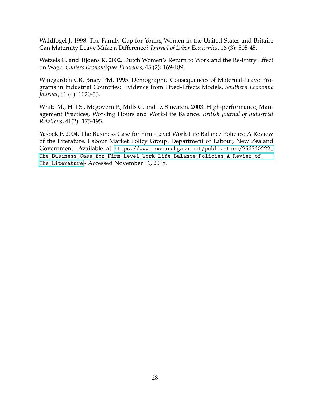Waldfogel J. 1998. The Family Gap for Young Women in the United States and Britain: Can Maternity Leave Make a Difference? *Journal of Labor Economics*, 16 (3): 505-45.

Wetzels C. and Tijdens K. 2002. Dutch Women's Return to Work and the Re-Entry Effect on Wage. *Cahiers Economiques Bruxelles*, 45 (2): 169-189.

Winegarden CR, Bracy PM. 1995. Demographic Consequences of Maternal-Leave Programs in Industrial Countries: Evidence from Fixed-Effects Models. *Southern Economic Journal*, 61 (4): 1020-35.

White M., Hill S., Mcgovern P., Mills C. and D. Smeaton. 2003. High-performance, Management Practices, Working Hours and Work-Life Balance. *British Journal of Industrial Relations*, 41(2): 175-195.

Yasbek P. 2004. The Business Case for Firm-Level Work-Life Balance Policies: A Review of the Literature. Labour Market Policy Group, Department of Labour, New Zealand Government. Available at [https://www.researchgate.net/publication/266340222\\_](https://www.researchgate.net/publication/266340222_The_Business_Case_for_Firm-Level_Work-Life_Balance_Policies_A_Review_of_The_Literature) [The\\_Business\\_Case\\_for\\_Firm-Level\\_Work-Life\\_Balance\\_Policies\\_A\\_Review\\_of\\_](https://www.researchgate.net/publication/266340222_The_Business_Case_for_Firm-Level_Work-Life_Balance_Policies_A_Review_of_The_Literature) [The\\_Literature](https://www.researchgate.net/publication/266340222_The_Business_Case_for_Firm-Level_Work-Life_Balance_Policies_A_Review_of_The_Literature) - Accessed November 16, 2018.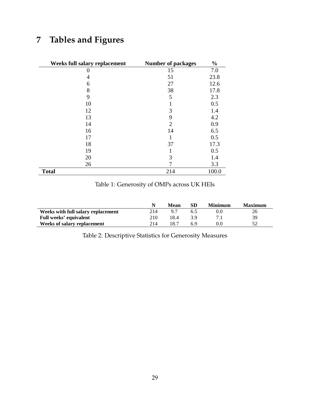## <span id="page-31-0"></span>**7 Tables and Figures**

| Weeks full salary replacement | <b>Number of packages</b> | $\frac{0}{0}$ |
|-------------------------------|---------------------------|---------------|
|                               | 15                        | 7.0           |
| 4                             | 51                        | 23.8          |
| 6                             | 27                        | 12.6          |
| 8                             | 38                        | 17.8          |
| 9                             | 5                         | 2.3           |
| 10                            |                           | 0.5           |
| 12                            | 3                         | 1.4           |
| 13                            | 9                         | 4.2           |
| 14                            | $\overline{2}$            | 0.9           |
| 16                            | 14                        | 6.5           |
| 17                            |                           | 0.5           |
| 18                            | 37                        | 17.3          |
| 19                            |                           | 0.5           |
| 20                            | 3                         | 1.4           |
| 26                            |                           | 3.3           |
| <b>Total</b>                  | 214                       | 100.0         |

### Table 1: Generosity of OMPs across UK HEIs

|                                    |     | Mean | SD  | Minimum | <b>Maximum</b> |
|------------------------------------|-----|------|-----|---------|----------------|
| Weeks with full salary replacement | 214 |      |     | 0.0     |                |
| Full weeks' equivalent             | 210 | 18.4 | 3 Q |         | 39             |
| Weeks of salary replacement        | 214 | 18.7 | 6 ዓ | 0.0     |                |

Table 2: Descriptive Statistics for Generosity Measures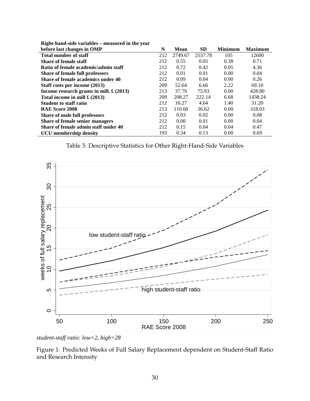| before last changes in OMP                       | N   | <b>Mean</b> | <b>SD</b> | <b>Minimum</b> | <b>Maximum</b> |
|--------------------------------------------------|-----|-------------|-----------|----------------|----------------|
| <b>Total number of staff</b>                     | 212 | 2749.67     | 2537.78   | 105            | 12600          |
| <b>Share of female staff</b>                     | 212 | 0.55        | 0.05      | 0.38           | 0.71           |
| Ratio of female academic/admin staff             | 212 | 0.72        | 0.42      | 0.05           | 4.36           |
| Share of female full professors                  | 212 | 0.01        | 0.01      | 0.00           | 0.04           |
| Share of female academics under 40               | 212 | 0.09        | 0.04      | 0.00           | 0.26           |
| Staff costs per income (2013)                    | 209 | 52.64       | 6.66      | 2.22           | 69.10          |
| Income research grants in mill. $\pounds$ (2013) | 213 | 37.79       | 75.93     | 0.00           | 428.80         |
| Total income in mill $\pounds$ (2013)            | 209 | 208.27      | 222.14    | 6.68           | 1438.24        |
| <b>Student to staff ratio</b>                    | 212 | 16.27       | 4.64      | 1.40           | 31.20          |
| <b>RAE Score 2008</b>                            | 213 | 110.60      | 36.62     | 0.00           | 318.03         |
| Share of male full professors                    | 212 | 0.03        | 0.02      | 0.00           | 0.08           |
| <b>Share of female senior managers</b>           | 212 | 0.00        | 0.01      | 0.00           | 0.04           |
| Share of female admin staff under 40             | 212 | 0.15        | 0.04      | 0.04           | 0.47           |
| UCU membership density                           | 193 | 0.34        | 0.13      | 0.00           | 0.69           |

<span id="page-32-0"></span>**Right-hand-side variables – measured in the year**

Table 3: Descriptive Statistics for Other Right-Hand-Side Variables



*student-staff ratio: low=2, high=28*

Figure 1: Predicted Weeks of Full Salary Replacement dependent on Student-Staff Ratio and Research Intensity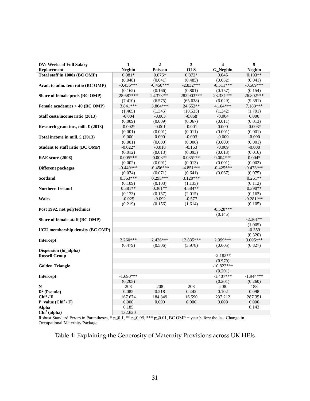<span id="page-33-0"></span>

| <b>DV: Weeks of Full Salary</b>        | $\mathbf{1}$  | $\overline{2}$ | 3           | $\overline{\mathbf{4}}$ | 5             |
|----------------------------------------|---------------|----------------|-------------|-------------------------|---------------|
| <b>Replacement</b>                     | <b>Negbin</b> | Poisson        | <b>OLS</b>  | <b>G</b> Negbin         | <b>Negbin</b> |
| Total staff in 1000s (BC OMP)          | $0.081*$      | $0.076*$       | $0.872*$    | 0.045                   | $0.103**$     |
|                                        | (0.048)       | (0.041)        | (0.485)     | (0.032)                 | (0.041)       |
| Acad. to adm. fem ratio (BC OMP)       | $-0.456***$   | $-0.458***$    | $-2.832***$ | $-0.511***$             | $-0.589***$   |
|                                        | (0.162)       | (0.166)        | (0.801)     | (0.157)                 | (0.154)       |
| Share of female profs (BC OMP)         | 28.687***     | 24.373***      | 282.903***  | 23.337***               | 26.802***     |
|                                        | (7.410)       | (6.575)        | (65.638)    | (6.029)                 | (9.391)       |
| Female academics < 40 (BC OMP)         | 3.841***      | 3.864***       | 24.652**    | 4.164***                | 7.183***      |
|                                        | (1.405)       | (1.345)        | (10.535)    | (1.342)                 | (1.791)       |
| Staff costs/income ratio (2013)        | $-0.004$      | $-0.003$       | $-0.068$    | $-0.004$                | 0.000         |
|                                        | (0.009)       | (0.009)        | (0.067)     | (0.011)                 | (0.013)       |
| Research grant inc., mill. £ (2013)    | $-0.002*$     | $-0.001$       | $-0.001$    | 0.000                   | $-0.003*$     |
|                                        | (0.001)       | (0.001)        | (0.011)     | (0.001)                 | (0.001)       |
| Total income in mill. $\pounds$ (2013) | 0.000         | 0.000          | $-0.003$    | $-0.000$                | $-0.000$      |
|                                        | (0.001)       | (0.000)        | (0.006)     | (0.000)                 | (0.001)       |
| Student to staff ratio (BC OMP)        | $-0.022*$     | $-0.018$       | $-0.153$    | $-0.009$                | $-0.000$      |
|                                        | (0.012)       | (0.013)        | (0.093)     | (0.013)                 | (0.016)       |
| <b>RAE</b> score (2008)                | $0.005***$    | $0.003**$      | $0.035***$  | $0.004***$              | $0.004*$      |
|                                        | (0.002)       | (0.001)        | (0.013)     | (0.001)                 | (0.002)       |
| <b>Different packages</b>              | $-0.449***$   | $-0.456***$    | $-4.851***$ | $-0.425***$             | $-0.473***$   |
|                                        | (0.074)       | (0.071)        | (0.641)     | (0.067)                 | (0.075)       |
| <b>Scotland</b>                        | $0.363***$    | $0.295***$     | $3.120***$  |                         | $0.261**$     |
|                                        | (0.109)       | (0.103)        | (1.135)     |                         | (0.112)       |
| <b>Northern Ireland</b>                | $0.381**$     | $0.361**$      | 4.584**     |                         | $0.390**$     |
|                                        | (0.173)       | (0.157)        | (2.015)     |                         | (0.162)       |
| <b>Wales</b>                           | $-0.025$      | $-0.092$       | $-0.577$    |                         | $-0.281***$   |
|                                        | (0.219)       | (0.156)        | (1.614)     |                         | (0.105)       |
| Post 1992, not polytechnics            |               |                |             | $-0.528***$             |               |
|                                        |               |                |             | (0.145)                 |               |
| Share of female ataff (BC OMP)         |               |                |             |                         | $-2.361**$    |
|                                        |               |                |             |                         | (1.005)       |
| UCU membership density (BC OMP)        |               |                |             |                         | $-0.359$      |
|                                        |               |                |             |                         | (0.320)       |
| Intercept                              | $2.260***$    | $2.426***$     | 12.835***   | 2.399***                | $3.005***$    |
|                                        | (0.479)       | (0.506)        | (3.978)     | (0.605)                 | (0.827)       |
| Dispersion (ln_alpha)                  |               |                |             |                         |               |
| <b>Russell Group</b>                   |               |                |             | $-2.182**$              |               |
|                                        |               |                |             | (0.979)<br>$-10.823***$ |               |
| <b>Golden Triangle</b>                 |               |                |             | (0.201)                 |               |
|                                        | $-1.690***$   |                |             | $-1.407***$             | $-1.944***$   |
| <b>Intercept</b>                       | (0.205)       |                |             | (0.201)                 | (0.260)       |
| N                                      | 208           | 208            | 208         | 208                     | 188           |
| $\mathbb{R}^2$ (Pseudo)                | 0.082         | 0.218          | 0.442       | 0.102                   | 0.098         |
| Chi <sup>2</sup> /F                    | 167.674       | 184.849        | 16.590      | 237.212                 | 287.351       |
| P_value $(Chi^2 / F)$                  | 0.000         | 0.000          | 0.000       | 0.000                   | 0.000         |
| Alpha                                  | 0.185         |                |             |                         | 0.143         |
| $Chi2$ (alpha)                         | 132.620       |                |             |                         |               |
|                                        |               |                |             |                         |               |

Robust Standard Errors in Parentheses, \* p≤0.1, \*\* p≤0.05, \*\*\* p≤0.01, BC OMP = year before the last Change in Occupational Maternity Package

Table 4: Explaining the Generosity of Maternity Provisions across UK HEIs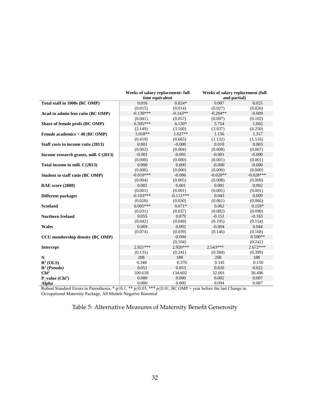<span id="page-34-0"></span>

|                                                | Weeks of salary replacement: full<br>time equivalent |             | Weeks of salary replacement (full<br>and partial) |             |  |
|------------------------------------------------|------------------------------------------------------|-------------|---------------------------------------------------|-------------|--|
| Total staff in 1000s (BC OMP)                  | 0.016                                                | $0.024*$    | 0.007                                             | 0.025       |  |
|                                                | (0.015)                                              | (0.014)     | (0.027)                                           | (0.026)     |  |
| Acad to admin fem ratio (BC OMP)               | $-0.130***$                                          | $-0.143**$  | $-0.204**$                                        | $-0.009$    |  |
|                                                | (0.041)                                              | (0.057)     | (0.097)                                           | (0.102)     |  |
| Share of female profs (BC OMP)                 | $6.595***$                                           | $6.130*$    | 5.754                                             | 1.002       |  |
|                                                | (2.149)                                              | (3.160)     | (3.937)                                           | (6.250)     |  |
| Female academics < 40 (BC OMP)                 | $1.018**$                                            | $1.627**$   | 1.156                                             | 1.317       |  |
|                                                | (0.419)                                              | (0.665)     | (1.132)                                           | (1.516)     |  |
| Staff costs to income ratio (2013)             | 0.001                                                | $-0.000$    | 0.010                                             | 0.003       |  |
|                                                | (0.002)                                              | (0.004)     | (0.008)                                           | (0.007)     |  |
| Income research grants, mill. $\pounds$ (2013) | $-0.001$                                             | $-0.001$    | $-0.001$                                          | $-0.000$    |  |
|                                                | (0.000)                                              | (0.000)     | (0.001)                                           | (0.001)     |  |
| Total income in mill. £ (2013)                 | 0.000                                                | 0.000       | $-0.000$                                          | $-0.000$    |  |
|                                                | (0.000)                                              | (0.000)     | (0.000)                                           | (0.000)     |  |
| Student to staff ratio (BC OMP)                | $-0.010***$                                          | $-0.006$    | $-0.020**$                                        | $-0.028***$ |  |
|                                                | (0.004)                                              | (0.005)     | (0.008)                                           | (0.009)     |  |
| <b>RAE</b> score (2008)                        | 0.001                                                | 0.001       | 0.001                                             | 0.002       |  |
|                                                | (0.001)                                              | (0.001)     | (0.001)                                           | (0.001)     |  |
| <b>Different packages</b>                      | $-0.103***$                                          | $-0.111***$ | 0.043                                             | 0.009       |  |
|                                                | (0.028)                                              | (0.030)     | (0.061)                                           | (0.066)     |  |
| <b>Scotland</b>                                | $0.095***$                                           | $0.071*$    | 0.062                                             | $0.159*$    |  |
|                                                | (0.031)                                              | (0.037)     | (0.082)                                           | (0.090)     |  |
| <b>Northern Ireland</b>                        | 0.055                                                | 0.079       | $-0.151$                                          | $-0.163$    |  |
|                                                | (0.042)                                              | (0.049)     | (0.195)                                           | (0.154)     |  |
| <b>Wales</b>                                   | 0.069                                                | 0.002       | $-0.004$                                          | 0.044       |  |
|                                                | (0.074)                                              | (0.039)     | (0.146)                                           | (0.168)     |  |
| <b>UCU</b> membership density (BC OMP)         |                                                      | $-0.094$    |                                                   | $0.500**$   |  |
|                                                |                                                      | (0.104)     |                                                   | (0.241)     |  |
| Intercept                                      | $2.921***$                                           | 2.920***    | 2.543***                                          | $2.672***$  |  |
|                                                | (0.131)                                              | (0.241)     | (0.384)                                           | (0.399)     |  |
| N                                              | 208                                                  | 188         | 208                                               | 188         |  |
| $\mathbb{R}^2$ (OLS)                           | 0.348                                                | 0.370       | 0.141                                             | 0.150       |  |
| $\mathbb{R}^2$ (Pseudo)                        | 0.051                                                | 0.053       | 0.020                                             | 0.022       |  |
| Chi <sup>2</sup>                               | 109.618                                              | 134.602     | 32.001                                            | 30.496      |  |
| $P_value (Chi2)$                               | 0.000                                                | 0.000       | 0.002                                             | 0.007       |  |
| Alpha                                          | 0.000                                                | 0.000       | 0.094                                             | 0.087       |  |

Robust Standard Errors in Parentheses, \* p≤0.1, \*\* p≤0.05, \*\*\* p≤0.01, BC OMP = year before the last Change in Occupational Maternity Package, All Models Negative Binomial

#### Table 5: Alternative Measures of Maternity Benefit Generosity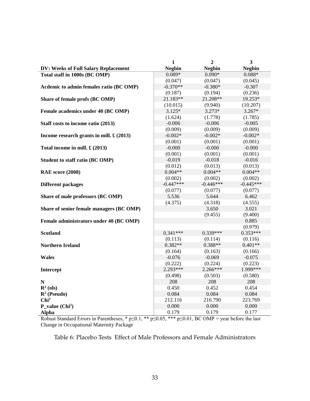<span id="page-35-0"></span>

|                                                  | $\mathbf{1}$  | $\overline{2}$ | 3             |
|--------------------------------------------------|---------------|----------------|---------------|
| DV: Weeks of Full Salary Replacement             | <b>Negbin</b> | <b>Negbin</b>  | <b>Negbin</b> |
| Total staff in 1000s (BC OMP)                    | $0.089*$      | $0.090*$       | $0.088*$      |
|                                                  | (0.047)       | (0.047)        | (0.045)       |
| Acdemic to admin females ratio (BC OMP)          | $-0.370**$    | $-0.380*$      | $-0.307$      |
|                                                  | (0.187)       | (0.194)        | (0.236)       |
| Share of female profs (BC OMP)                   | 21.183**      | 21.208**       | 19.253*       |
|                                                  | (10.015)      | (9.940)        | (10.207)      |
| Female academics under 40 (BC OMP)               | $3.125*$      | $3.273*$       | $3.267*$      |
|                                                  | (1.624)       | (1.778)        | (1.785)       |
| Staff costs to income ratio (2013)               | $-0.006$      | $-0.006$       | $-0.005$      |
|                                                  | (0.009)       | (0.009)        | (0.009)       |
| Income research grants in mill. $\pounds$ (2013) | $-0.002*$     | $-0.002*$      | $-0.002*$     |
|                                                  | (0.001)       | (0.001)        | (0.001)       |
| Total income in mill. $\pounds$ (2013)           | $-0.000$      | $-0.000$       | $-0.000$      |
|                                                  | (0.001)       | (0.001)        | (0.001)       |
| Student to staff ratio (BC OMP)                  | $-0.019$      | $-0.018$       | $-0.016$      |
|                                                  | (0.012)       | (0.013)        | (0.013)       |
| RAE score (2008)                                 | $0.004**$     | $0.004**$      | $0.004**$     |
|                                                  | (0.002)       | (0.002)        | (0.002)       |
| <b>Different packages</b>                        | $-0.447***$   | $-0.446***$    | $-0.445***$   |
|                                                  | (0.077)       | (0.077)        | (0.077)       |
| Share of male professors (BC OMP)                | 5.536         | 5.644          | 6.462         |
|                                                  | (4.375)       | (4.318)        | (4.555)       |
| Share of senior female managers (BC OMP)         |               | 3.650          | 3.021         |
|                                                  |               | (9.455)        | (9.400)       |
| Female administrators under 40 (BC OMP)          |               |                | 0.885         |
|                                                  |               |                | (0.979)       |
| <b>Scotland</b>                                  | $0.341***$    | 0.339***       | $0.353***$    |
|                                                  | (0.113)       | (0.114)        | (0.116)       |
| <b>Northern Ireland</b>                          | $0.382**$     | $0.388**$      | $0.401**$     |
|                                                  | (0.164)       | (0.163)        | (0.166)       |
| <b>Wales</b>                                     | $-0.076$      | $-0.069$       | $-0.075$      |
|                                                  | (0.222)       | (0.224)        | (0.223)       |
| Intercept                                        | $2.293***$    | $2.266***$     | 1.999***      |
|                                                  | (0.498)       | (0.503)        | (0.580)       |
| ${\bf N}$                                        | 208           | 208            | 208           |
| $\mathbf{R}^2$ (ols)                             | 0.450         | 0.452          | 0.454         |
| $\mathbb{R}^2$ (Pseudo)                          | 0.084         | 0.084          | 0.084         |
| Chi <sup>2</sup>                                 | 212.116       | 216.790        | 223.769       |
| $P_value (Chi2)$                                 | 0.000         | 0.000          | 0.000         |
| <b>Alpha</b>                                     | 0.179         | 0.179          | 0.177         |

Robust Standard Errors in Parentheses, \*  $p \le 0.1$ , \*\*  $p \le 0.05$ , \*\*\*  $p \le 0.01$ , BC OMP = year before the last Change in Occupational Maternity Package

Table 6: Placebo Tests Effect of Male Professors and Female Administrators